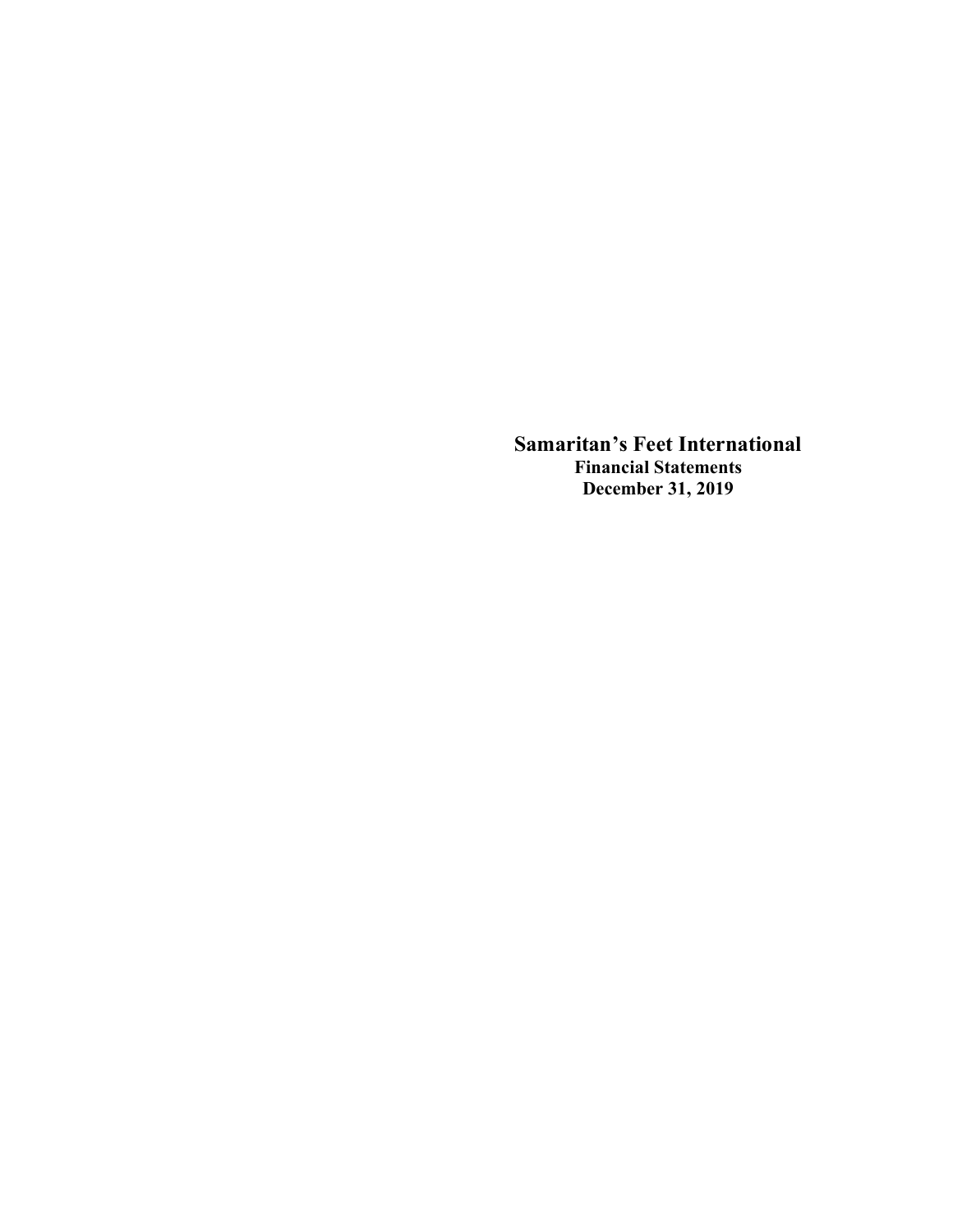**Samaritan's Feet International Financial Statements December 31, 2019**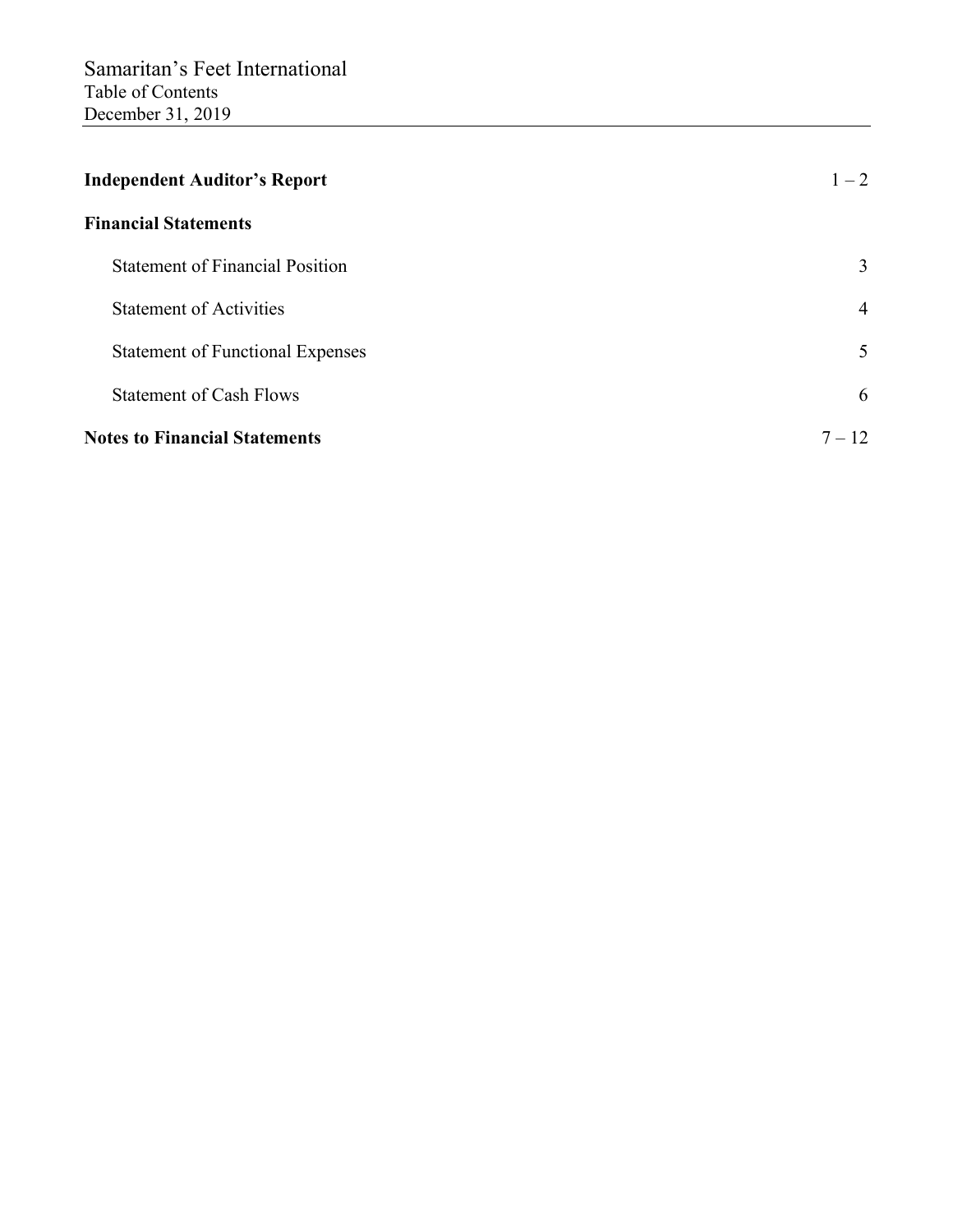| <b>Independent Auditor's Report</b>     | $1 - 2$        |
|-----------------------------------------|----------------|
| <b>Financial Statements</b>             |                |
| <b>Statement of Financial Position</b>  | 3              |
| <b>Statement of Activities</b>          | $\overline{4}$ |
| <b>Statement of Functional Expenses</b> | 5              |
| <b>Statement of Cash Flows</b>          | 6              |
| <b>Notes to Financial Statements</b>    | $7 - 12$       |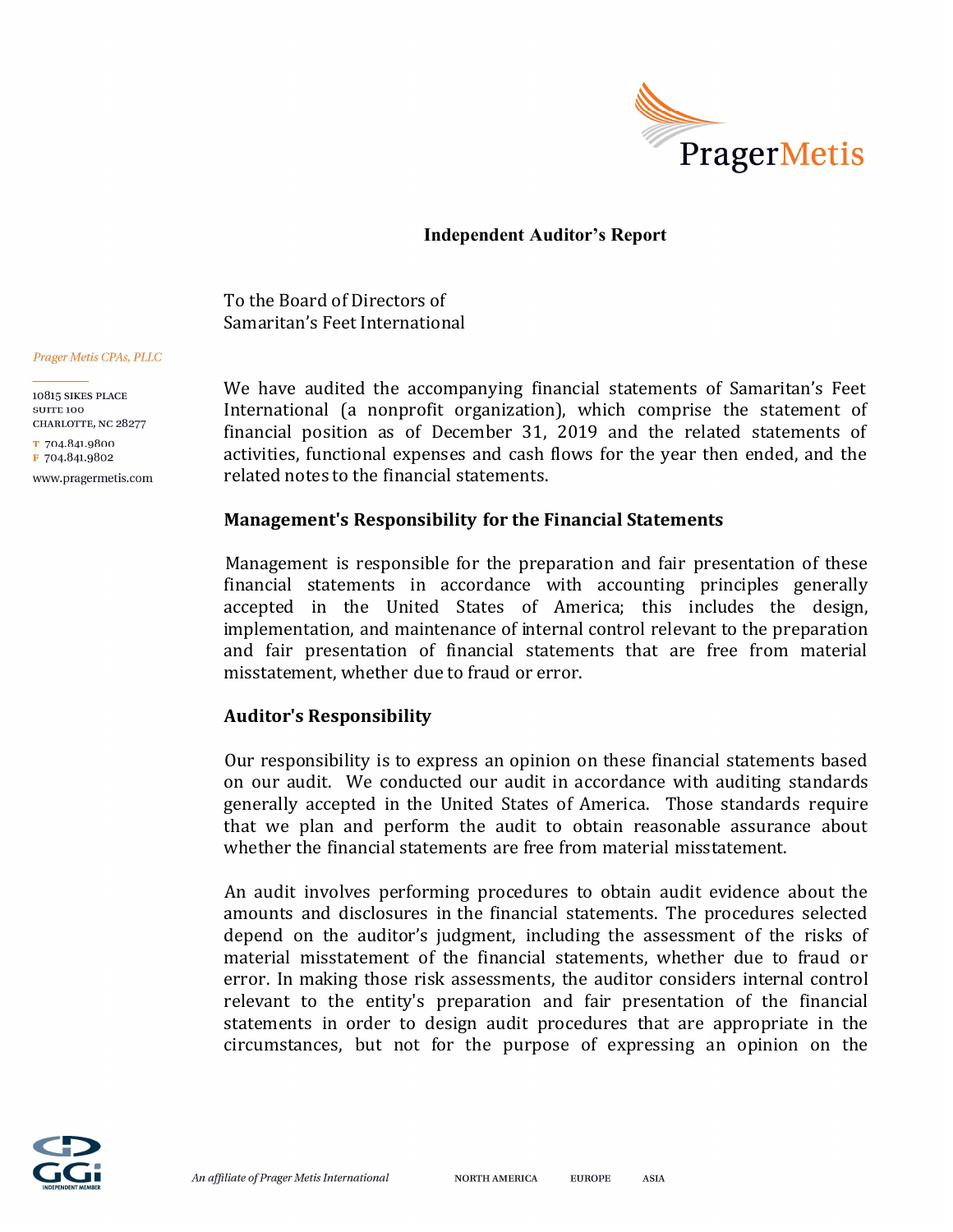

# **Independent Auditor's Report**

To the Board of Directors of Samaritan's Feet International

#### Prager Metis CPAs, PLLC

10815 SIKES PLACE **SUITE 100** CHARLOTTE, NC 28277 T 704.841.9800 F 704.841.9802 www.pragermetis.com We have audited the accompanying financial statements of Samaritan's Feet International (a nonprofit organization), which comprise the statement of financial position as of December 31, 2019 and the related statements of activities, functional expenses and cash flows for the year then ended, and the related notes to the financial statements.

# **Management's Responsibility for the Financial Statements**

Management is responsible for the preparation and fair presentation of these financial statements in accordance with accounting principles generally accepted in the United States of America; this includes the design, implementation, and maintenance of internal control relevant to the preparation and fair presentation of financial statements that are free from material misstatement, whether due to fraud or error.

# **Auditor's Responsibility**

Our responsibility is to express an opinion on these financial statements based on our audit. We conducted our audit in accordance with auditing standards generally accepted in the United States of America. Those standards require that we plan and perform the audit to obtain reasonable assurance about whether the financial statements are free from material misstatement.

An audit involves performing procedures to obtain audit evidence about the amounts and disclosures in the financial statements. The procedures selected depend on the auditor's judgment, including the assessment of the risks of material misstatement of the financial statements, whether due to fraud or error. In making those risk assessments, the auditor considers internal control relevant to the entity's preparation and fair presentation of the financial statements in order to design audit procedures that are appropriate in the circumstances, but not for the purpose of expressing an opinion on the



**ASIA**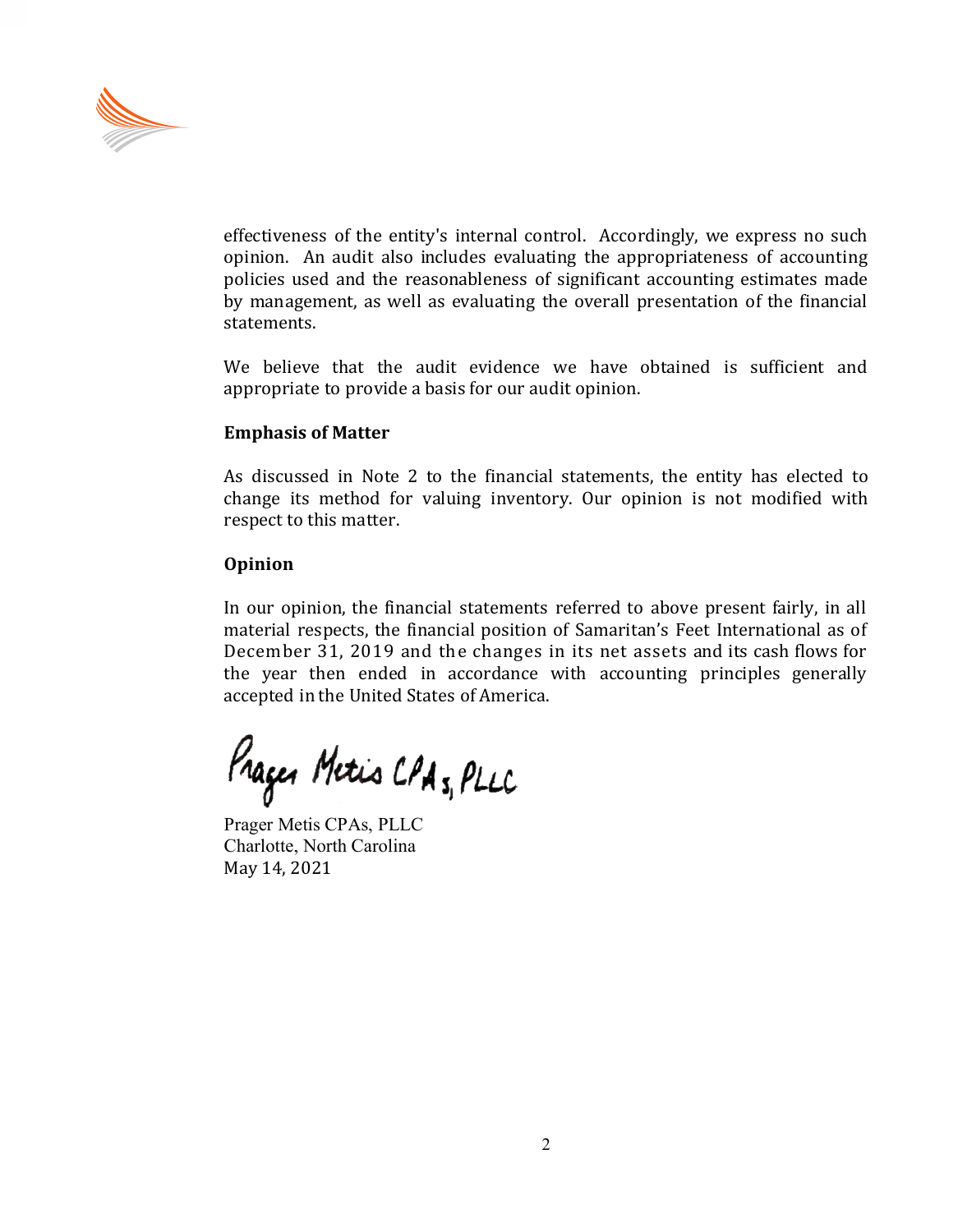

effectiveness of the entity's internal control. Accordingly, we express no such opinion. An audit also includes evaluating the appropriateness of accounting policies used and the reasonableness of significant accounting estimates made by management, as well as evaluating the overall presentation of the financial statements.

We believe that the audit evidence we have obtained is sufficient and appropriate to provide a basis for our audit opinion.

# **Emphasis of Matter**

As discussed in Note 2 to the financial statements, the entity has elected to change its method for valuing inventory. Our opinion is not modified with respect to this matter.

# **Opinion**

In our opinion, the financial statements referred to above present fairly, in all material respects, the financial position of Samaritan's Feet International as of December 31, 2019 and the changes in its net assets and its cash flows for the year then ended in accordance with accounting principles generally accepted in the United States of America.

Prager Metis CPA 5, PLLC

Prager Metis CPAs, PLLC Charlotte, North Carolina May 14, 2021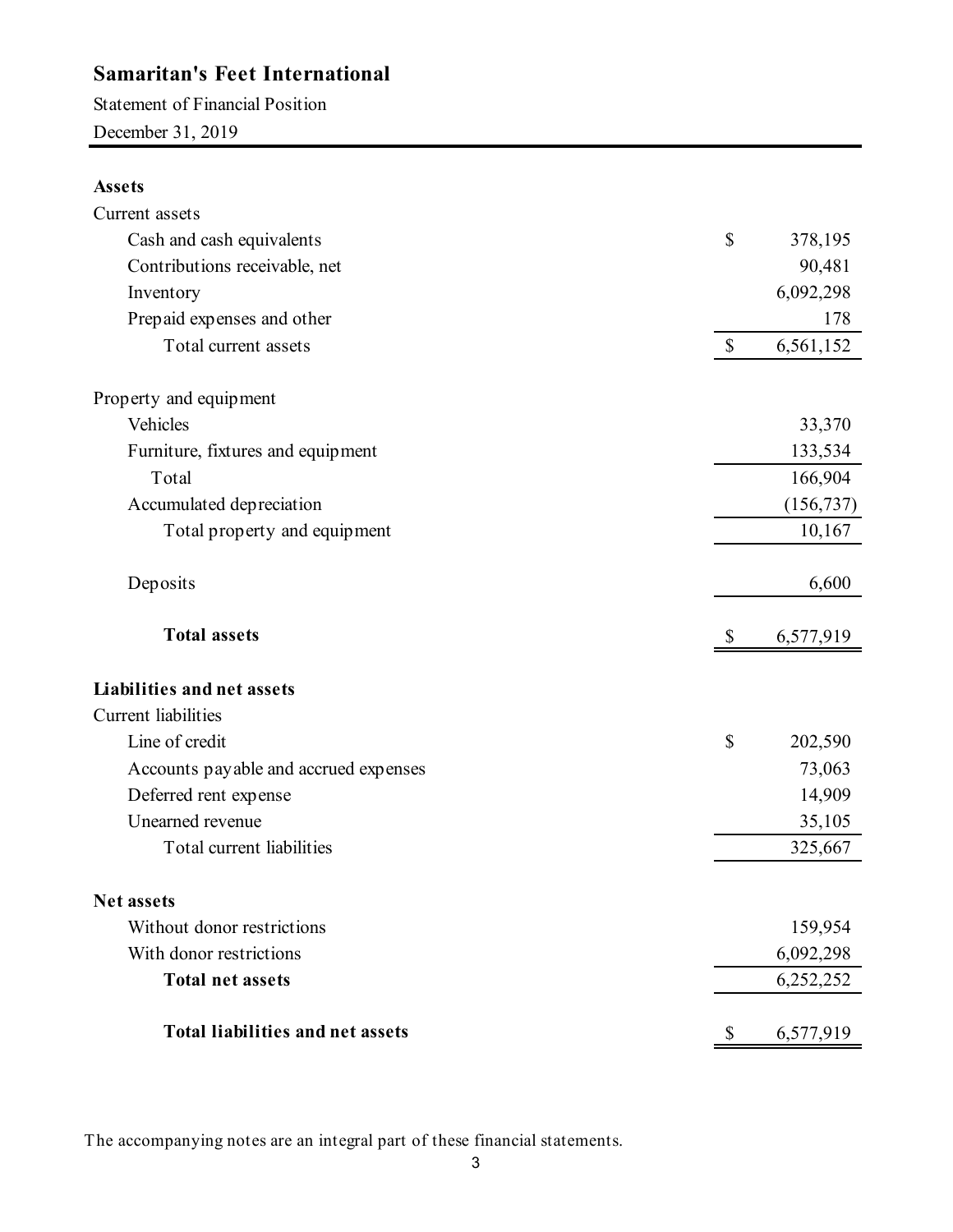Statement of Financial Position December 31, 2019

# **Assets**

| Current assets                          |                           |            |
|-----------------------------------------|---------------------------|------------|
| Cash and cash equivalents               | $\mathbb{S}$              | 378,195    |
| Contributions receivable, net           |                           | 90,481     |
| Inventory                               |                           | 6,092,298  |
| Prepaid expenses and other              |                           | 178        |
| Total current assets                    | $\boldsymbol{\mathsf{S}}$ | 6,561,152  |
| Property and equipment                  |                           |            |
| Vehicles                                |                           | 33,370     |
| Furniture, fixtures and equipment       |                           | 133,534    |
| Total                                   |                           | 166,904    |
| Accumulated depreciation                |                           | (156, 737) |
| Total property and equipment            |                           | 10,167     |
| Deposits                                |                           | 6,600      |
| <b>Total assets</b>                     | \$                        | 6,577,919  |
| <b>Liabilities and net assets</b>       |                           |            |
| <b>Current</b> liabilities              |                           |            |
| Line of credit                          | \$                        | 202,590    |
| Accounts payable and accrued expenses   |                           | 73,063     |
| Deferred rent expense                   |                           | 14,909     |
| Unearned revenue                        |                           | 35,105     |
| Total current liabilities               |                           | 325,667    |
| Net assets                              |                           |            |
| Without donor restrictions              |                           | 159,954    |
| With donor restrictions                 |                           | 6,092,298  |
| <b>Total net assets</b>                 |                           | 6,252,252  |
| <b>Total liabilities and net assets</b> | \$                        | 6,577,919  |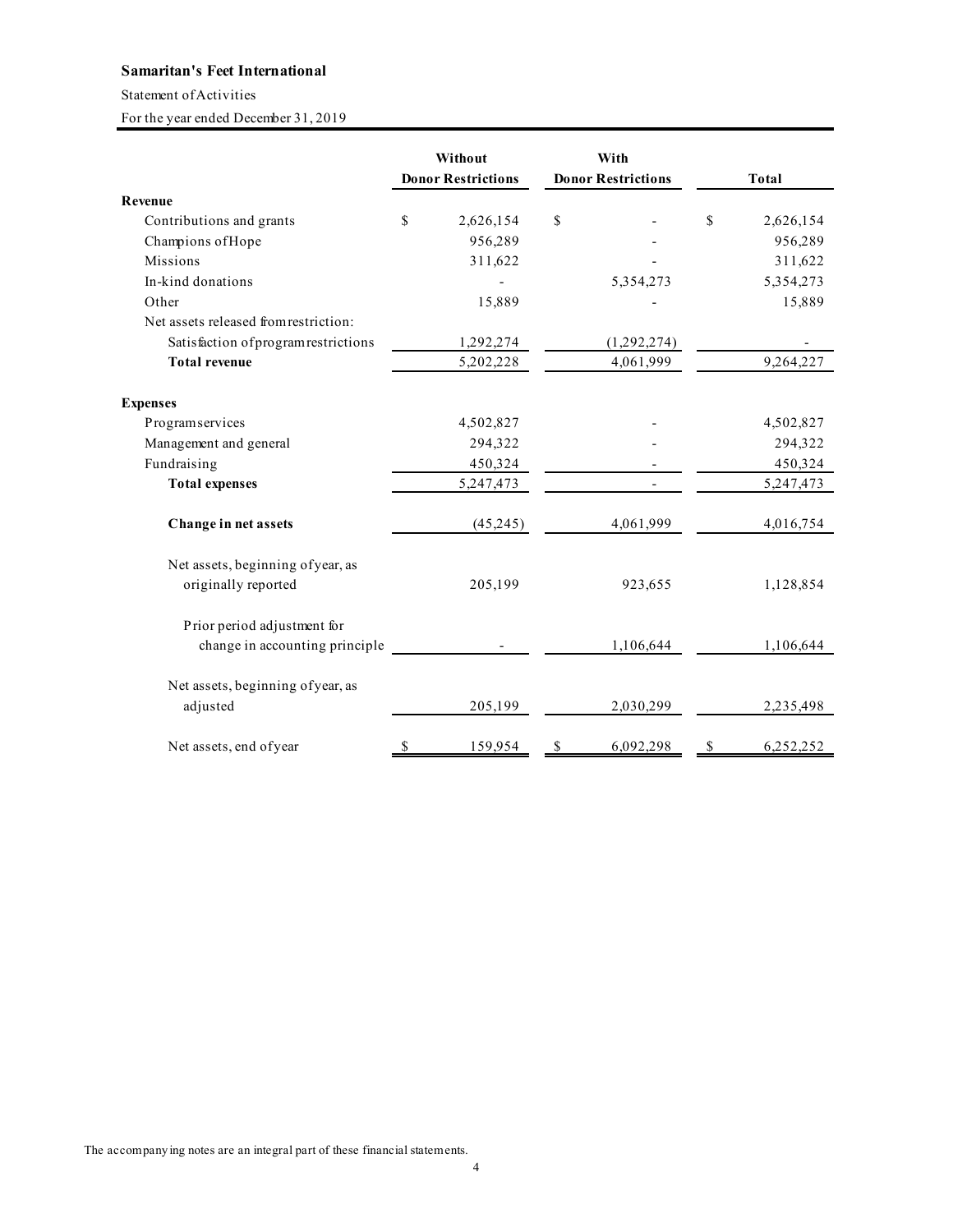Statement of Activities

For the year ended December 31, 2019

|                                       |    | Without<br>With<br><b>Donor Restrictions</b><br><b>Donor Restrictions</b> |    | <b>Total</b> |    |           |
|---------------------------------------|----|---------------------------------------------------------------------------|----|--------------|----|-----------|
| Revenue                               |    |                                                                           |    |              |    |           |
| Contributions and grants              | \$ | 2,626,154                                                                 | \$ |              | \$ | 2,626,154 |
| Champions of Hope                     |    | 956,289                                                                   |    |              |    | 956,289   |
| <b>Missions</b>                       |    | 311,622                                                                   |    |              |    | 311,622   |
| In-kind donations                     |    |                                                                           |    | 5,354,273    |    | 5,354,273 |
| Other                                 |    | 15,889                                                                    |    |              |    | 15,889    |
| Net assets released from restriction: |    |                                                                           |    |              |    |           |
| Satisfaction of program restrictions  |    | 1,292,274                                                                 |    | (1,292,274)  |    |           |
| <b>Total revenue</b>                  |    | 5,202,228                                                                 |    | 4,061,999    |    | 9,264,227 |
| <b>Expenses</b>                       |    |                                                                           |    |              |    |           |
| Programservices                       |    | 4,502,827                                                                 |    |              |    | 4,502,827 |
| Management and general                |    | 294,322                                                                   |    |              |    | 294,322   |
| Fundraising                           |    | 450,324                                                                   |    |              |    | 450,324   |
| <b>Total expenses</b>                 |    | 5, 247, 473                                                               |    |              |    | 5,247,473 |
| Change in net assets                  |    | (45,245)                                                                  |    | 4,061,999    |    | 4,016,754 |
| Net assets, beginning of year, as     |    |                                                                           |    |              |    |           |
| originally reported                   |    | 205,199                                                                   |    | 923,655      |    | 1,128,854 |
| Prior period adjustment for           |    |                                                                           |    |              |    |           |
| change in accounting principle        |    |                                                                           |    | 1,106,644    |    | 1,106,644 |
| Net assets, beginning of year, as     |    |                                                                           |    |              |    |           |
| adjusted                              |    | 205,199                                                                   |    | 2,030,299    |    | 2,235,498 |
| Net assets, end of year               | \$ | 159,954                                                                   | \$ | 6,092,298    | \$ | 6,252,252 |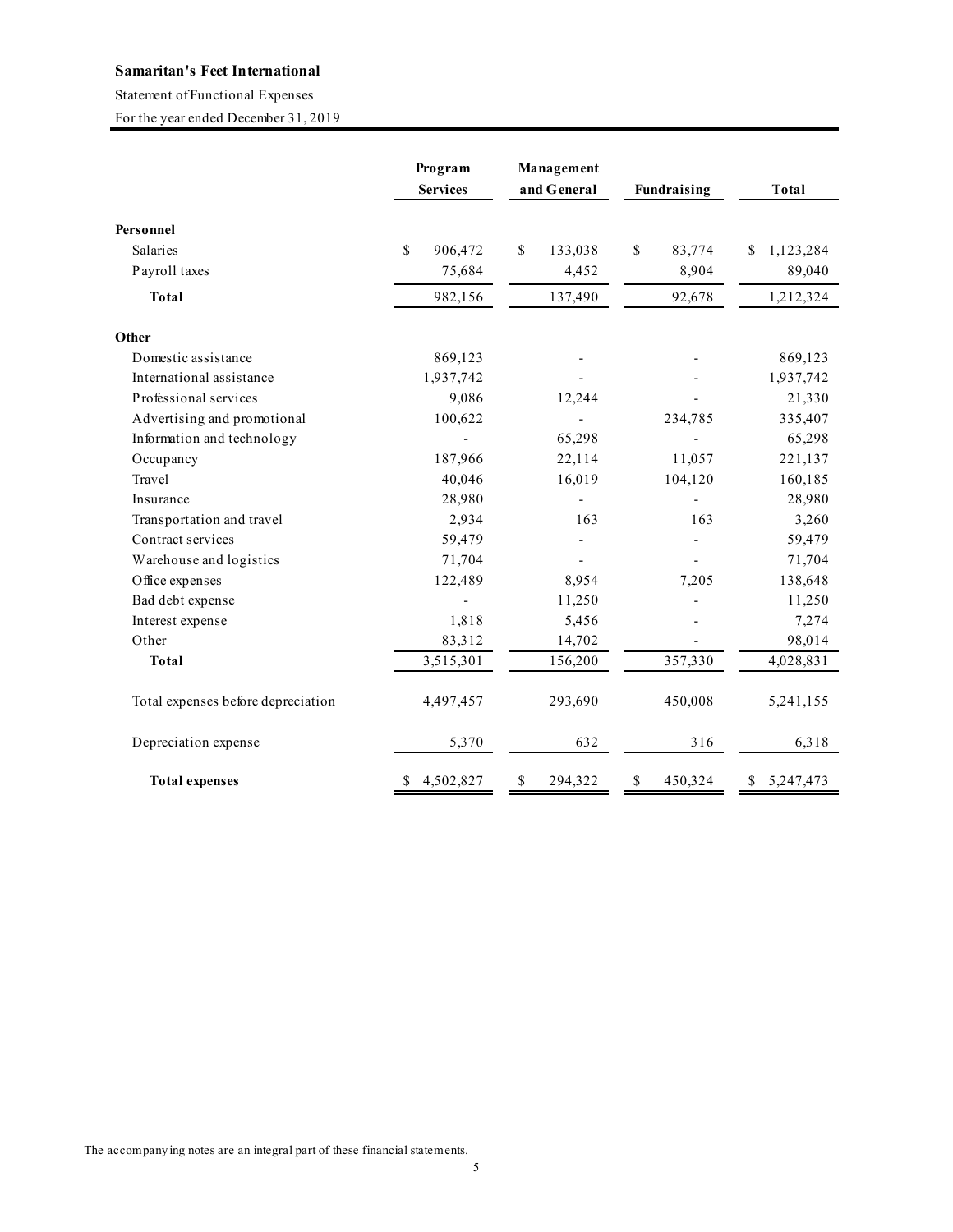#### Statement of Functional Expenses

For the year ended December 31, 2019

|                                    | Program<br><b>Services</b> | Management<br>and General | Fundraising   | Total           |
|------------------------------------|----------------------------|---------------------------|---------------|-----------------|
| Personnel                          |                            |                           |               |                 |
| Salaries                           | \$<br>906,472              | \$<br>133,038             | \$<br>83,774  | 1,123,284<br>\$ |
| Payroll taxes                      | 75,684                     | 4,452                     | 8,904         | 89,040          |
| <b>Total</b>                       | 982,156                    | 137,490                   | 92,678        | 1,212,324       |
| Other                              |                            |                           |               |                 |
| Domestic assistance                | 869,123                    |                           |               | 869,123         |
| International assistance           | 1,937,742                  |                           |               | 1,937,742       |
| Professional services              | 9,086                      | 12,244                    |               | 21,330          |
| Advertising and promotional        | 100,622                    |                           | 234,785       | 335,407         |
| Information and technology         |                            | 65,298                    |               | 65,298          |
| Occupancy                          | 187,966                    | 22,114                    | 11,057        | 221,137         |
| Travel                             | 40,046                     | 16,019                    | 104,120       | 160,185         |
| Insurance                          | 28,980                     |                           |               | 28,980          |
| Transportation and travel          | 2,934                      | 163                       | 163           | 3,260           |
| Contract services                  | 59,479                     |                           |               | 59,479          |
| Warehouse and logistics            | 71,704                     |                           |               | 71,704          |
| Office expenses                    | 122,489                    | 8,954                     | 7,205         | 138,648         |
| Bad debt expense                   |                            | 11,250                    |               | 11,250          |
| Interest expense                   | 1,818                      | 5,456                     |               | 7,274           |
| Other                              | 83,312                     | 14,702                    |               | 98,014          |
| <b>Total</b>                       | 3,515,301                  | 156,200                   | 357,330       | 4,028,831       |
| Total expenses before depreciation | 4,497,457                  | 293,690                   | 450,008       | 5,241,155       |
| Depreciation expense               | 5,370                      | 632                       | 316           | 6,318           |
| <b>Total expenses</b>              | \$4,502,827                | \$<br>294,322             | \$<br>450,324 | \$5,247,473     |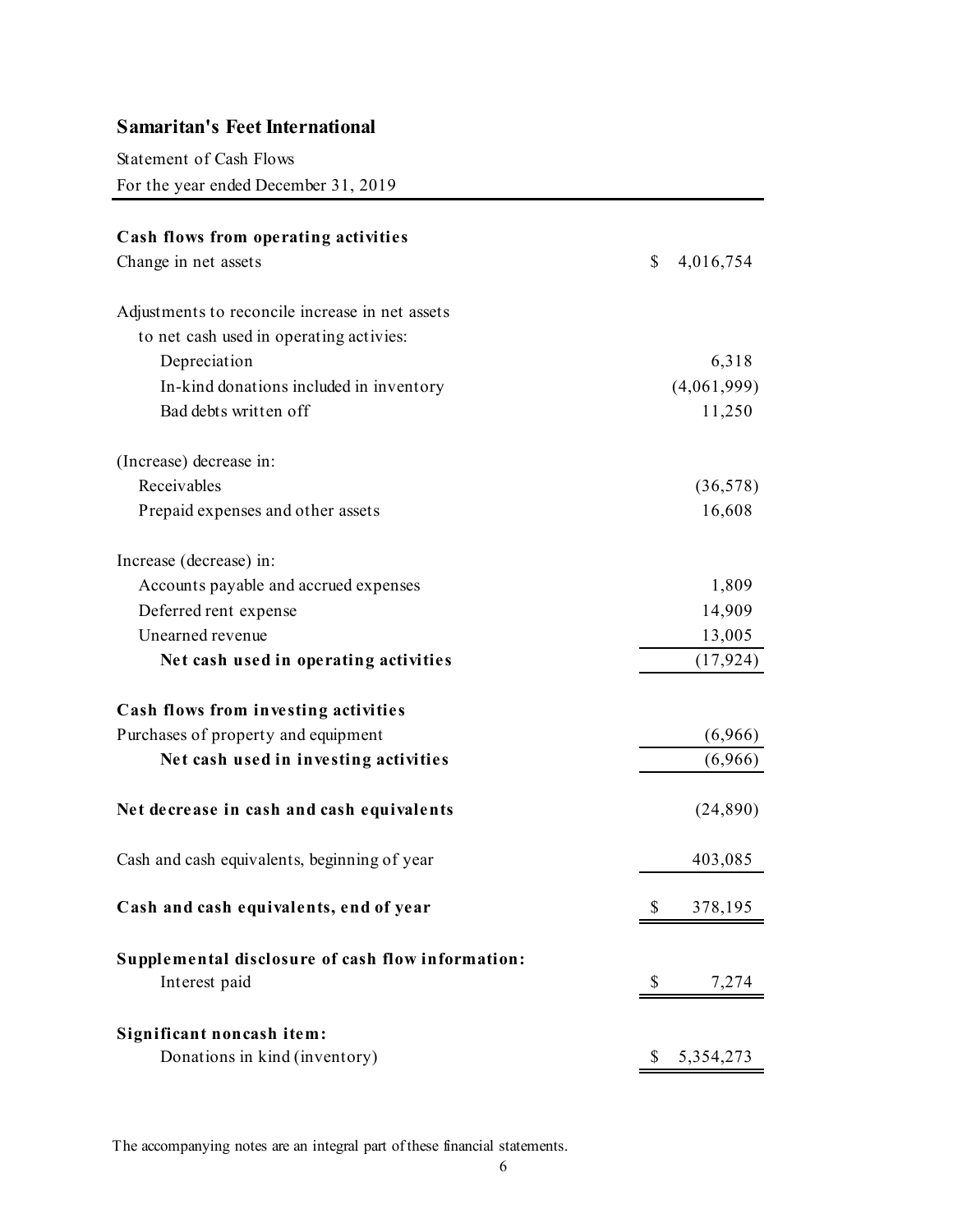Statement of Cash Flows

For the year ended December 31, 2019

| Cash flows from operating activities              |               |             |
|---------------------------------------------------|---------------|-------------|
| Change in net assets                              | $\mathcal{S}$ | 4,016,754   |
| Adjustments to reconcile increase in net assets   |               |             |
| to net cash used in operating activies:           |               |             |
| Depreciation                                      |               | 6,318       |
| In-kind donations included in inventory           |               | (4,061,999) |
| Bad debts written off                             |               | 11,250      |
| (Increase) decrease in:                           |               |             |
| Receivables                                       |               | (36,578)    |
| Prepaid expenses and other assets                 |               | 16,608      |
| Increase (decrease) in:                           |               |             |
| Accounts payable and accrued expenses             |               | 1,809       |
| Deferred rent expense                             |               | 14,909      |
| Unearned revenue                                  |               | 13,005      |
| Net cash used in operating activities             |               | (17, 924)   |
| Cash flows from investing activities              |               |             |
| Purchases of property and equipment               |               | (6,966)     |
| Net cash used in investing activities             |               | (6,966)     |
| Net decrease in cash and cash equivalents         |               | (24, 890)   |
| Cash and cash equivalents, beginning of year      |               | 403,085     |
| Cash and cash equivalents, end of year            | \$            | 378,195     |
| Supplemental disclosure of cash flow information: |               |             |
| Interest paid                                     | \$            | 7,274       |
| Significant noncash item:                         |               |             |
| Donations in kind (inventory)                     | \$            | 5,354,273   |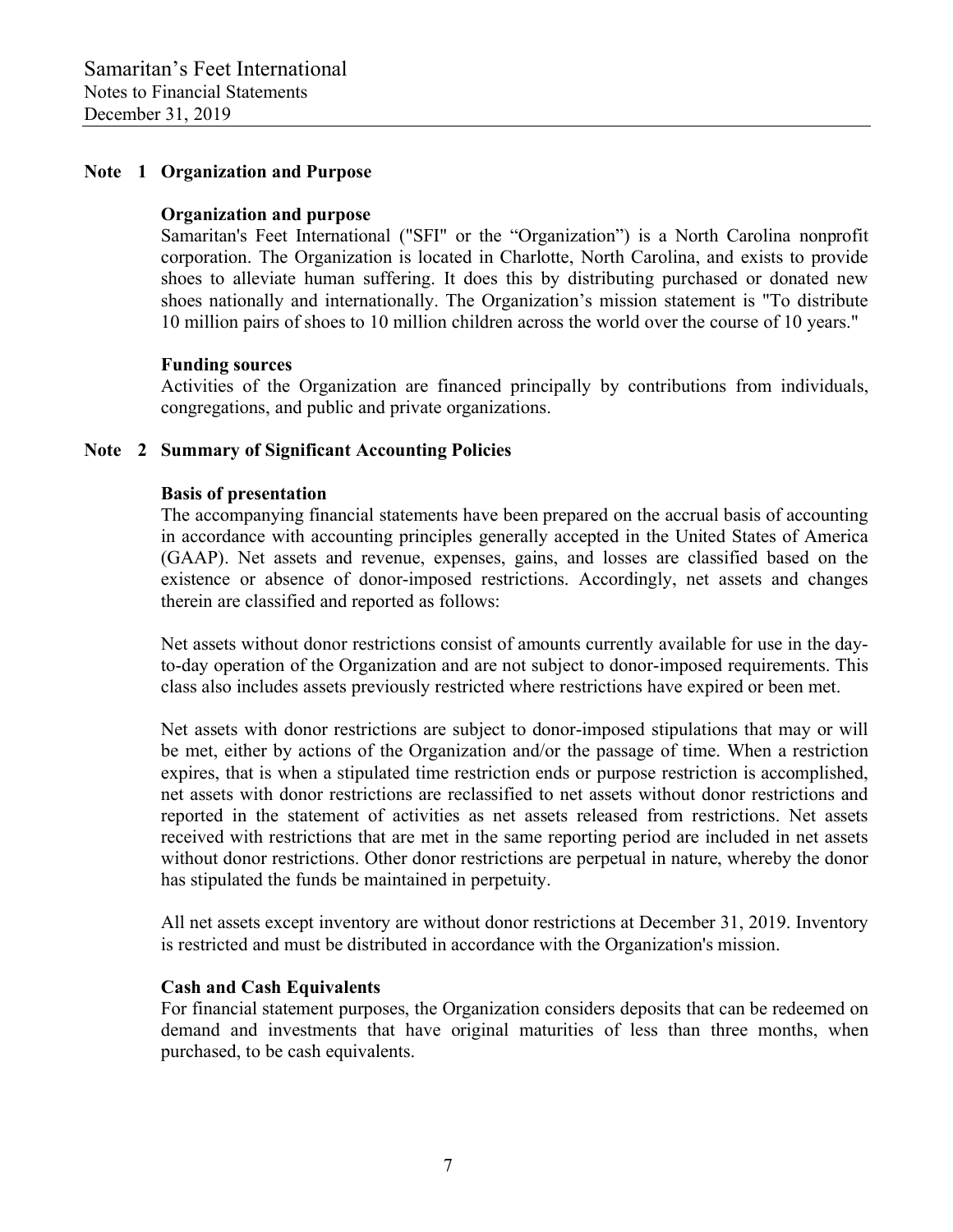#### **Note 1 Organization and Purpose**

#### **Organization and purpose**

 Samaritan's Feet International ("SFI" or the "Organization") is a North Carolina nonprofit corporation. The Organization is located in Charlotte, North Carolina, and exists to provide shoes to alleviate human suffering. It does this by distributing purchased or donated new shoes nationally and internationally. The Organization's mission statement is "To distribute 10 million pairs of shoes to 10 million children across the world over the course of 10 years."

#### **Funding sources**

 Activities of the Organization are financed principally by contributions from individuals, congregations, and public and private organizations.

# **Note 2 Summary of Significant Accounting Policies**

#### **Basis of presentation**

 The accompanying financial statements have been prepared on the accrual basis of accounting in accordance with accounting principles generally accepted in the United States of America (GAAP). Net assets and revenue, expenses, gains, and losses are classified based on the existence or absence of donor-imposed restrictions. Accordingly, net assets and changes therein are classified and reported as follows:

 Net assets without donor restrictions consist of amounts currently available for use in the dayto-day operation of the Organization and are not subject to donor-imposed requirements. This class also includes assets previously restricted where restrictions have expired or been met.

 Net assets with donor restrictions are subject to donor-imposed stipulations that may or will be met, either by actions of the Organization and/or the passage of time. When a restriction expires, that is when a stipulated time restriction ends or purpose restriction is accomplished, net assets with donor restrictions are reclassified to net assets without donor restrictions and reported in the statement of activities as net assets released from restrictions. Net assets received with restrictions that are met in the same reporting period are included in net assets without donor restrictions. Other donor restrictions are perpetual in nature, whereby the donor has stipulated the funds be maintained in perpetuity.

 All net assets except inventory are without donor restrictions at December 31, 2019. Inventory is restricted and must be distributed in accordance with the Organization's mission.

#### **Cash and Cash Equivalents**

 For financial statement purposes, the Organization considers deposits that can be redeemed on demand and investments that have original maturities of less than three months, when purchased, to be cash equivalents.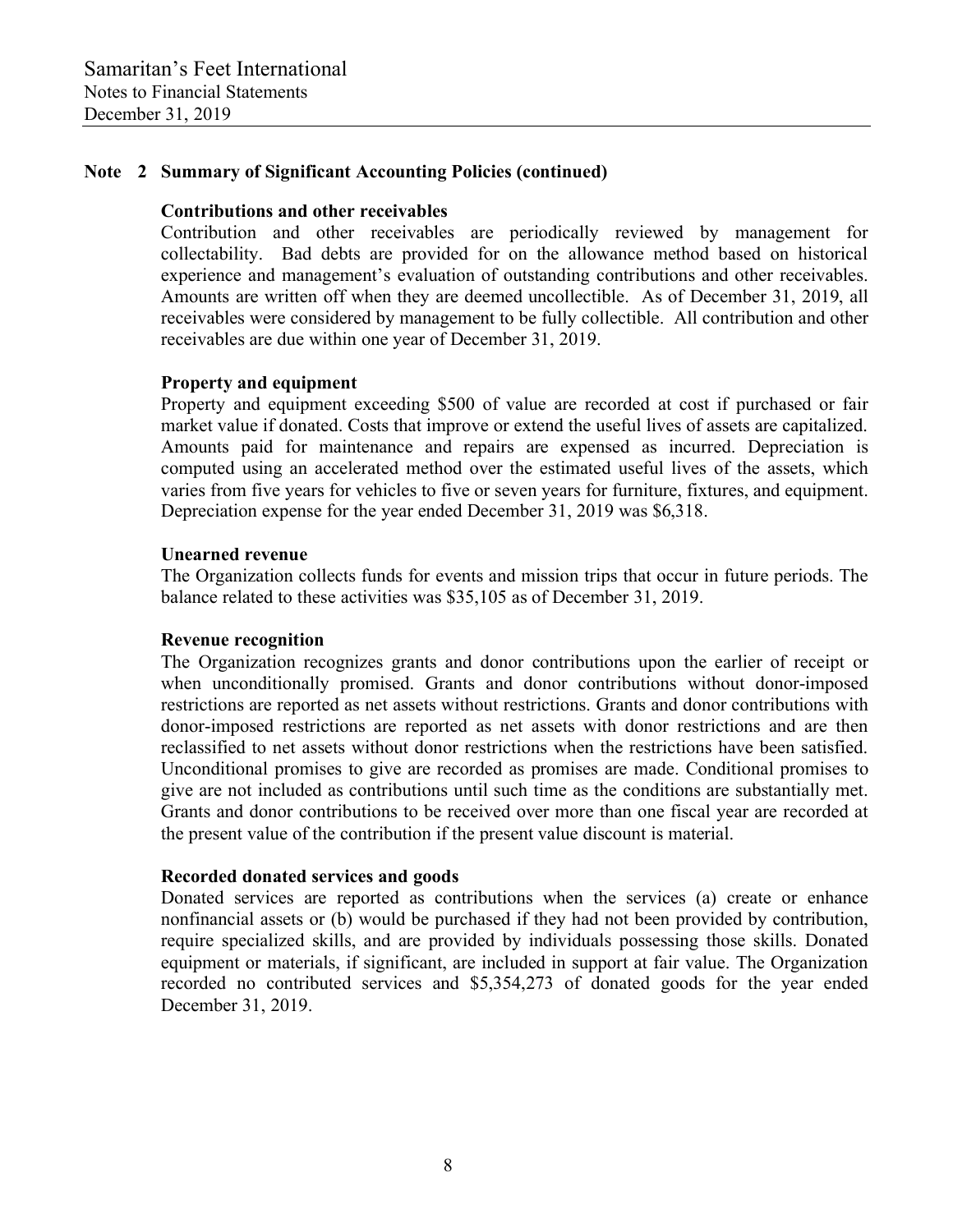# **Note 2 Summary of Significant Accounting Policies (continued)**

#### **Contributions and other receivables**

 Contribution and other receivables are periodically reviewed by management for collectability. Bad debts are provided for on the allowance method based on historical experience and management's evaluation of outstanding contributions and other receivables. Amounts are written off when they are deemed uncollectible. As of December 31, 2019, all receivables were considered by management to be fully collectible. All contribution and other receivables are due within one year of December 31, 2019.

#### **Property and equipment**

 Property and equipment exceeding \$500 of value are recorded at cost if purchased or fair market value if donated. Costs that improve or extend the useful lives of assets are capitalized. Amounts paid for maintenance and repairs are expensed as incurred. Depreciation is computed using an accelerated method over the estimated useful lives of the assets, which varies from five years for vehicles to five or seven years for furniture, fixtures, and equipment. Depreciation expense for the year ended December 31, 2019 was \$6,318.

#### **Unearned revenue**

 The Organization collects funds for events and mission trips that occur in future periods. The balance related to these activities was \$35,105 as of December 31, 2019.

#### **Revenue recognition**

 The Organization recognizes grants and donor contributions upon the earlier of receipt or when unconditionally promised. Grants and donor contributions without donor-imposed restrictions are reported as net assets without restrictions. Grants and donor contributions with donor-imposed restrictions are reported as net assets with donor restrictions and are then reclassified to net assets without donor restrictions when the restrictions have been satisfied. Unconditional promises to give are recorded as promises are made. Conditional promises to give are not included as contributions until such time as the conditions are substantially met. Grants and donor contributions to be received over more than one fiscal year are recorded at the present value of the contribution if the present value discount is material.

# **Recorded donated services and goods**

 Donated services are reported as contributions when the services (a) create or enhance nonfinancial assets or (b) would be purchased if they had not been provided by contribution, require specialized skills, and are provided by individuals possessing those skills. Donated equipment or materials, if significant, are included in support at fair value. The Organization recorded no contributed services and \$5,354,273 of donated goods for the year ended December 31, 2019.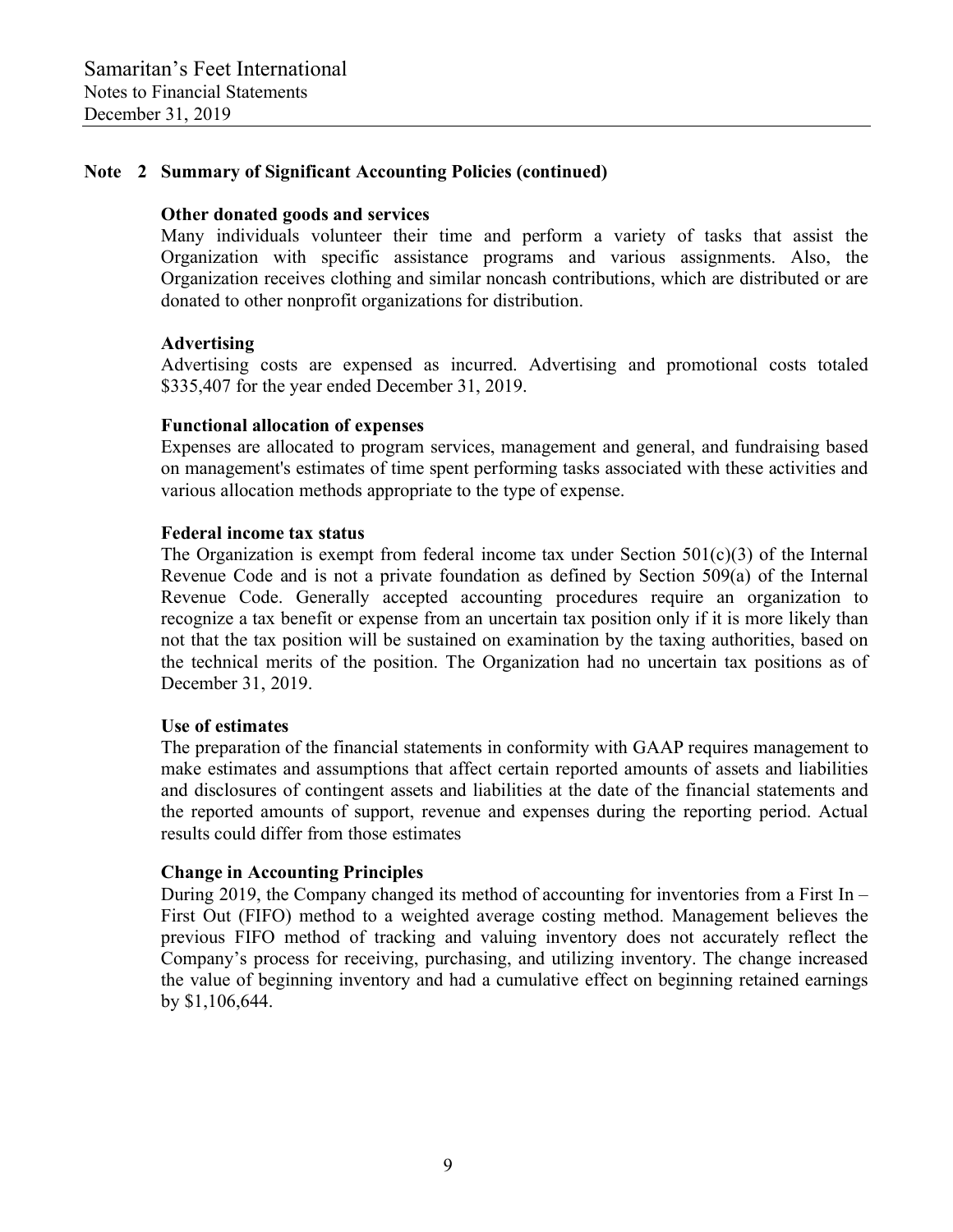# **Note 2 Summary of Significant Accounting Policies (continued)**

#### **Other donated goods and services**

 Many individuals volunteer their time and perform a variety of tasks that assist the Organization with specific assistance programs and various assignments. Also, the Organization receives clothing and similar noncash contributions, which are distributed or are donated to other nonprofit organizations for distribution.

#### **Advertising**

 Advertising costs are expensed as incurred. Advertising and promotional costs totaled \$335,407 for the year ended December 31, 2019.

#### **Functional allocation of expenses**

 Expenses are allocated to program services, management and general, and fundraising based on management's estimates of time spent performing tasks associated with these activities and various allocation methods appropriate to the type of expense.

#### **Federal income tax status**

The Organization is exempt from federal income tax under Section  $501(c)(3)$  of the Internal Revenue Code and is not a private foundation as defined by Section 509(a) of the Internal Revenue Code. Generally accepted accounting procedures require an organization to recognize a tax benefit or expense from an uncertain tax position only if it is more likely than not that the tax position will be sustained on examination by the taxing authorities, based on the technical merits of the position. The Organization had no uncertain tax positions as of December 31, 2019.

#### **Use of estimates**

 The preparation of the financial statements in conformity with GAAP requires management to make estimates and assumptions that affect certain reported amounts of assets and liabilities and disclosures of contingent assets and liabilities at the date of the financial statements and the reported amounts of support, revenue and expenses during the reporting period. Actual results could differ from those estimates

# **Change in Accounting Principles**

 During 2019, the Company changed its method of accounting for inventories from a First In – First Out (FIFO) method to a weighted average costing method. Management believes the previous FIFO method of tracking and valuing inventory does not accurately reflect the Company's process for receiving, purchasing, and utilizing inventory. The change increased the value of beginning inventory and had a cumulative effect on beginning retained earnings by \$1,106,644.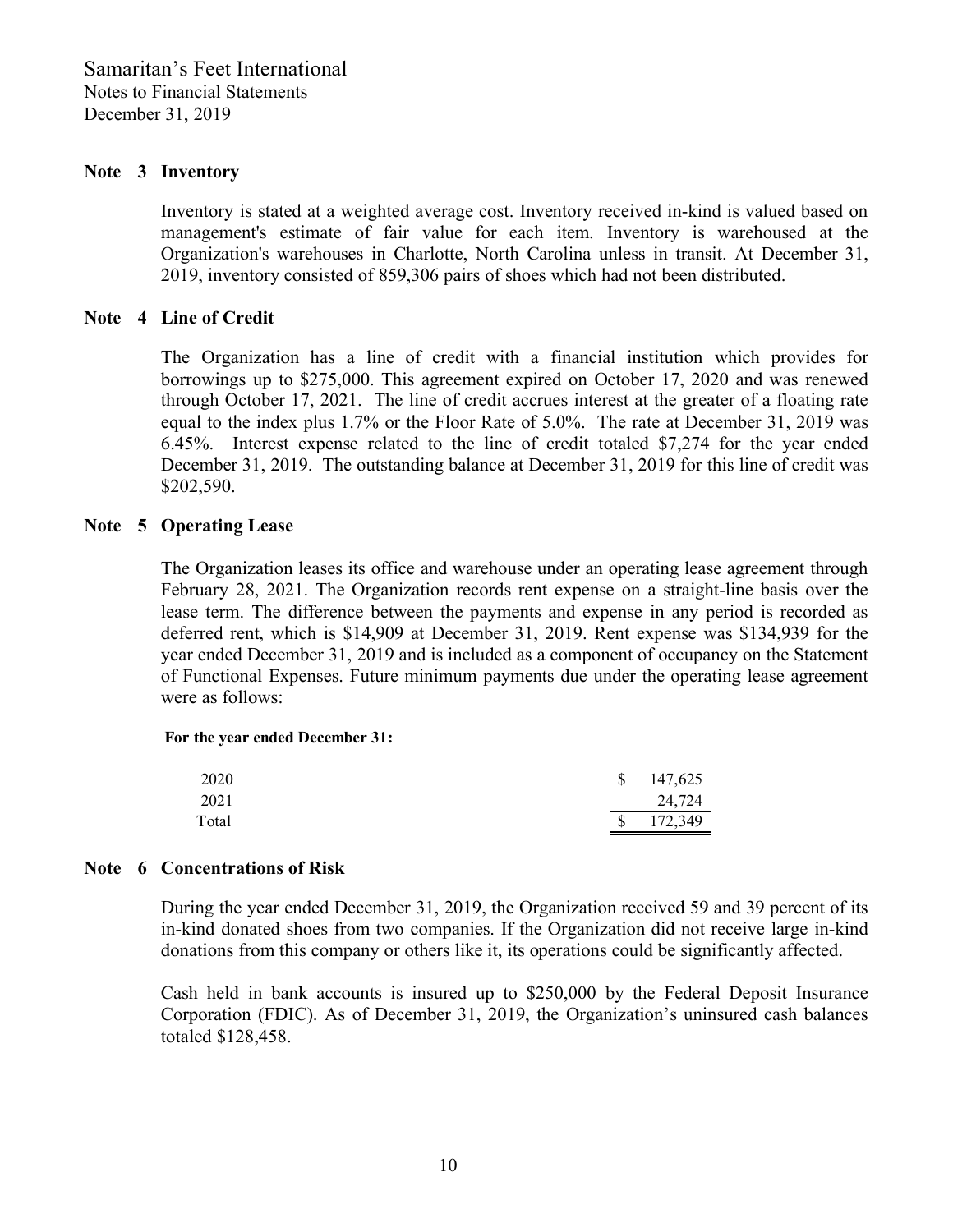#### **Note 3 Inventory**

 Inventory is stated at a weighted average cost. Inventory received in-kind is valued based on management's estimate of fair value for each item. Inventory is warehoused at the Organization's warehouses in Charlotte, North Carolina unless in transit. At December 31, 2019, inventory consisted of 859,306 pairs of shoes which had not been distributed.

#### **Note 4 Line of Credit**

 The Organization has a line of credit with a financial institution which provides for borrowings up to \$275,000. This agreement expired on October 17, 2020 and was renewed through October 17, 2021. The line of credit accrues interest at the greater of a floating rate equal to the index plus 1.7% or the Floor Rate of 5.0%. The rate at December 31, 2019 was 6.45%. Interest expense related to the line of credit totaled \$7,274 for the year ended December 31, 2019. The outstanding balance at December 31, 2019 for this line of credit was \$202,590.

#### **Note 5 Operating Lease**

 The Organization leases its office and warehouse under an operating lease agreement through February 28, 2021. The Organization records rent expense on a straight-line basis over the lease term. The difference between the payments and expense in any period is recorded as deferred rent, which is \$14,909 at December 31, 2019. Rent expense was \$134,939 for the year ended December 31, 2019 and is included as a component of occupancy on the Statement of Functional Expenses. Future minimum payments due under the operating lease agreement were as follows:

#### **For the year ended December 31:**

| 2020  | <sup>S</sup> | 147,625 |
|-------|--------------|---------|
| 2021  |              | 24,724  |
| Total | <sup>S</sup> | 172,349 |

#### **Note 6 Concentrations of Risk**

 During the year ended December 31, 2019, the Organization received 59 and 39 percent of its in-kind donated shoes from two companies. If the Organization did not receive large in-kind donations from this company or others like it, its operations could be significantly affected.

 Cash held in bank accounts is insured up to \$250,000 by the Federal Deposit Insurance Corporation (FDIC). As of December 31, 2019, the Organization's uninsured cash balances totaled \$128,458.